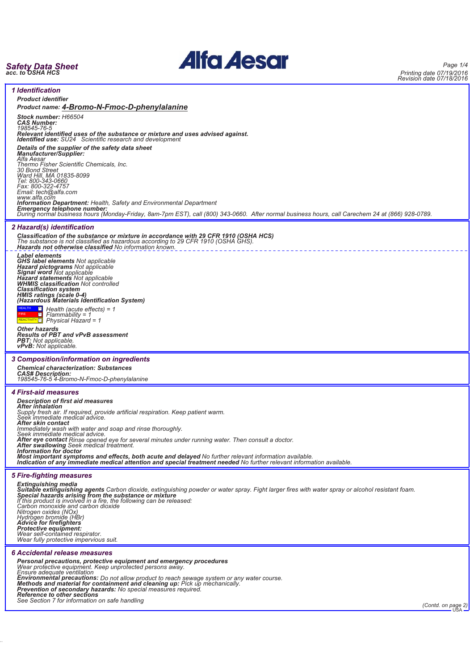# *Safety Data Sheet acc. to OSHA HCS*

38.0.35



*Page 1/4 Printing date 07/19/2016 Revision date 07/18/2016*

| <b>1 Identification</b>                                                                                                                                                                                                                                                                                           |                    |
|-------------------------------------------------------------------------------------------------------------------------------------------------------------------------------------------------------------------------------------------------------------------------------------------------------------------|--------------------|
|                                                                                                                                                                                                                                                                                                                   |                    |
| <b>Product identifier</b><br>Product name: 4-Bromo-N-Fmoc-D-phenylalanine                                                                                                                                                                                                                                         |                    |
| Stock number: H66504<br><b>CAS Number:</b><br>198545-76-5                                                                                                                                                                                                                                                         |                    |
| Relevant identified uses of the substance or mixture and uses advised against.<br>Identified use: SU24 Scientific research and development                                                                                                                                                                        |                    |
| Details of the supplier of the safety data sheet<br>Manufacturer/Supplier:                                                                                                                                                                                                                                        |                    |
| Alfa Aesar<br>Thermo Fisher Scientific Chemicals, Inc.<br>30 Bond Street<br>Ward Hill, MA 01835-8099                                                                                                                                                                                                              |                    |
| Tel: 800-343-0660<br>Fax: 800-322-4757<br>Email: tech@alfa.com<br>www.alfa.com                                                                                                                                                                                                                                    |                    |
| <b>Information Department:</b> Health, Safety and Environmental Department<br><b>Emergency telephone number:</b><br>During normal business hours (Monday-Friday, 8am-7pm EST), call (800) 343-0660. After normal business hours, call Carechem 24 at (866) 928-0789.                                              |                    |
| 2 Hazard(s) identification                                                                                                                                                                                                                                                                                        |                    |
| Classification of the substance or mixture in accordance with 29 CFR 1910 (OSHA HCS)<br>The substance is not classified as hazardous according to 29 CFR 1910 (OSHA GHS).<br>Hazards not otherwise classified No information known.                                                                               |                    |
| <b>Label elements</b>                                                                                                                                                                                                                                                                                             |                    |
| <b>CHS label elements</b> Not applicable<br>Hazard pictograms Not applicable<br>Signal word Not applicable<br>Hazard statements Not applicable<br>WHMIS classification Not controlled                                                                                                                             |                    |
| <b>Classification system</b><br>HMIS ratings (scale 0-4)<br>(Hazardous Materials Identification System)                                                                                                                                                                                                           |                    |
| $\Box$ Health (acute effects) = 1                                                                                                                                                                                                                                                                                 |                    |
| $\Box$ Flammability = 1<br>REACTIVITY To Physical Hazard = 1                                                                                                                                                                                                                                                      |                    |
| <b>Other hazards</b><br>Results of PBT and vPvB assessment<br><b>PBT:</b> Not applicable.<br><b>vPvB:</b> Not applicable.                                                                                                                                                                                         |                    |
|                                                                                                                                                                                                                                                                                                                   |                    |
| 3 Composition/information on ingredients<br><b>Chemical characterization: Substances</b><br><b>CAS# Description:</b><br>198545-76-5 4-Bromo-N-Fmoc-D-phenylalanine                                                                                                                                                |                    |
| <b>4 First-aid measures</b>                                                                                                                                                                                                                                                                                       |                    |
| <b>Description of first aid measures</b><br>After inhalation                                                                                                                                                                                                                                                      |                    |
| Supply fresh air. If required, provide artificial respiration. Keep patient warm.<br>Seek immediate medical advice.                                                                                                                                                                                               |                    |
| After skin contact<br>Immediately wash with water and soap and rinse thoroughly.                                                                                                                                                                                                                                  |                    |
| Seek immediate medical advice.<br>After eye contact Rinse opened eye for several minutes under running water. Then consult a doctor.<br><b>After swallowing</b> Seek medical treatment.                                                                                                                           |                    |
| Information for doctor<br>Most important symptoms and effects, both acute and delayed No further relevant information available.<br>Indication of any immediate medical attention and special treatment needed No further relevant information available.                                                         |                    |
| <b>5 Fire-fighting measures</b>                                                                                                                                                                                                                                                                                   |                    |
| <b>Extinguishing media</b><br>Suitable extinguishing agents Carbon dioxide, extinguishing powder or water spray. Fight larger fires with water spray or alcohol resistant foam.<br>Special hazards arising from the substance or mixture<br>If this product is involved in a fire, the following can be released: |                    |
| Carbon monoxide and carbon dioxide<br>Nitrogen oxides (NOx)<br>Hydrogen bromide (HBr)                                                                                                                                                                                                                             |                    |
| Advice for firefighters                                                                                                                                                                                                                                                                                           |                    |
| Protective equipment:<br>Wear self-contained respirator.<br>Wear fully protective impervious suit.                                                                                                                                                                                                                |                    |
| 6 Accidental release measures<br>Personal precautions, protective equipment and emergency procedures                                                                                                                                                                                                              |                    |
| Wear protective equipment. Keep unprotected persons away.<br>Ensure adequate ventilation                                                                                                                                                                                                                          |                    |
| Environmental precautions: Do not allow product to reach sewage system or any water course.<br>Methods and material for containment and cleaning up: Pick up mechanically.                                                                                                                                        |                    |
| Prevention of secondary hazards: No special measures required.<br>Reference to other sections<br>See Section 7 for information on safe handling                                                                                                                                                                   | (Contd. on page 2) |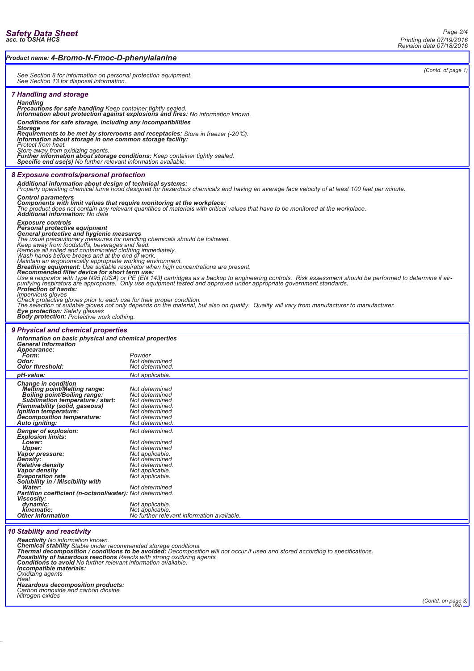|                                                                                                                                                                                                                                                                                                                                          |                                                                       |  | Revision date 07/18/2016 |
|------------------------------------------------------------------------------------------------------------------------------------------------------------------------------------------------------------------------------------------------------------------------------------------------------------------------------------------|-----------------------------------------------------------------------|--|--------------------------|
| Product name: 4-Bromo-N-Fmoc-D-phenylalanine                                                                                                                                                                                                                                                                                             |                                                                       |  |                          |
| See Section 8 for information on personal protection equipment.<br>See Section 13 for disposal information.                                                                                                                                                                                                                              |                                                                       |  | (Contd. of page 1)       |
| <b>7 Handling and storage</b>                                                                                                                                                                                                                                                                                                            |                                                                       |  |                          |
| <b>Handling</b><br>Precautions for safe handling Keep container tightly sealed.<br>Information about protection against explosions and fires: No information known.                                                                                                                                                                      |                                                                       |  |                          |
| Conditions for safe storage, including any incompatibilities                                                                                                                                                                                                                                                                             |                                                                       |  |                          |
| <b>Storage</b><br>Requirements to be met by storerooms and receptacles: Store in freezer (-20 °C).<br>Information about storage in one common storage facility:                                                                                                                                                                          |                                                                       |  |                          |
| Protect from heat.                                                                                                                                                                                                                                                                                                                       |                                                                       |  |                          |
| Store away from oxidizing agents.<br>Further information about storage conditions: Keep container tightly sealed.<br>Specific end use(s) No further relevant information available.                                                                                                                                                      |                                                                       |  |                          |
| 8 Exposure controls/personal protection                                                                                                                                                                                                                                                                                                  |                                                                       |  |                          |
| Additional information about design of technical systems:<br>Properly operating chemical fume hood designed for hazardous chemicals and having an average face velocity of at least 100 feet per minute.                                                                                                                                 |                                                                       |  |                          |
| <b>Control parameters</b><br>Components with limit values that require monitoring at the workplace:<br>The product does not contain any relevant quantities of materials with critical values that have to be monitored at the workplace.                                                                                                |                                                                       |  |                          |
| Additional information: No data<br><b>Exposure controls</b><br>Personal protective equipment<br><b>General protective and hygienic measures</b>                                                                                                                                                                                          |                                                                       |  |                          |
| Series and precautionary measures for handling chemicals should be followed.<br>The usual precautionary measures for handling chemicals should be followed.<br>Keep away from foodstuffs, beverages and feed.<br>Remove all soiled and                                                                                                   |                                                                       |  |                          |
| Maintain an ergonomically appropriate working environment.<br>Breathing equipment: Use suitable respirator when high concentrations are present.<br>Recommended filter device for short term use:                                                                                                                                        |                                                                       |  |                          |
| Use a respirator with type N95 (USA) or PE (EN 143) cartridges as a backup to engineering controls. Risk assessment should be performed to determine if air-<br>purifying respirators are appropriate. Only use equipment tested<br>Protection of hands:                                                                                 |                                                                       |  |                          |
| <i>Impervious gloves</i><br>Check protective gloves prior to each use for their proper condition.<br>The selection of suitable gloves not only depends on the material, but also on quality. Quality will vary from manufacturer to manufacturer.<br><b>Eye protection:</b> Safety glasses<br>Body protection: Protective work clothing. |                                                                       |  |                          |
| 9 Physical and chemical properties                                                                                                                                                                                                                                                                                                       |                                                                       |  |                          |
| Information on basic physical and chemical properties<br><b>General Information</b>                                                                                                                                                                                                                                                      |                                                                       |  |                          |
| <b>Appearance:</b><br>Form:                                                                                                                                                                                                                                                                                                              | Powder                                                                |  |                          |
| Odor:<br>Odor threshold:                                                                                                                                                                                                                                                                                                                 | Not determined<br>Not determined.                                     |  |                          |
| pH-value:                                                                                                                                                                                                                                                                                                                                | Not applicable.                                                       |  |                          |
| <b>Change in condition</b><br><b>Melting point/Melting range:</b><br>Boiling point/Boiling range:<br>Sublimation temperature / start:<br>Flammability (solid, gaseous)                                                                                                                                                                   | Not determined<br>Not determined<br>Not determined<br>Not determined. |  |                          |
| Ignition temperature:<br>Decomposition temperature:<br>Auto igniting:                                                                                                                                                                                                                                                                    | Not determined<br>Not determined<br>Not determined.                   |  |                          |
| Danger of explosion:<br><b>Explosion limits:</b>                                                                                                                                                                                                                                                                                         | Not determined.                                                       |  |                          |
| Lower:<br><b>Upper:</b>                                                                                                                                                                                                                                                                                                                  | Not determined<br>Not determined                                      |  |                          |
| Vapor pressure:                                                                                                                                                                                                                                                                                                                          | Not applicable.                                                       |  |                          |
| Density:<br><b>Relative density</b>                                                                                                                                                                                                                                                                                                      | Not determined<br>Not determined.                                     |  |                          |
| Vapor density<br><b>Evaporation rate</b><br>Solubility in / Miscibility with                                                                                                                                                                                                                                                             | Not applicable.<br>Not applicable.                                    |  |                          |
| <b>Water:</b><br><b>Partition coefficient (n-octanol/water): Not determined.</b><br><b>Viscosity:</b>                                                                                                                                                                                                                                    | Not determined                                                        |  |                          |
| dynamic:                                                                                                                                                                                                                                                                                                                                 | Not applicable.                                                       |  |                          |
| kinematic:<br><b>Other information</b>                                                                                                                                                                                                                                                                                                   | Not applicable.<br>No further relevant information available.         |  |                          |

## *10 Stability and reactivity*

Reactivity No information known.<br>Chemical stability Stable under recommended storage conditions.<br>Thermal decomposition / conditions to be avoided: Decomposition will not occur if used and stored according to specifications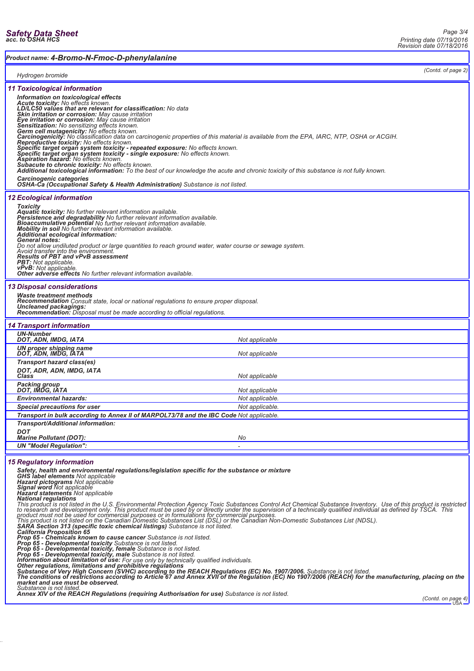*Product name: 4-Bromo-N-Fmoc-D-phenylalanine*

*(Contd. of page 2)*

| Hydrogen bromide                                                                                                                                                                                                                                                                                                                                                                                                                                                                                                                                                                                                                                                                                                                       | <i>Coma. or pago</i>                                                                                                                                                                                                                                                                                                                                                                                                                                                                                                                                                                                                                                                                                                                                                                                                                                                                                                                                                                                                                         |
|----------------------------------------------------------------------------------------------------------------------------------------------------------------------------------------------------------------------------------------------------------------------------------------------------------------------------------------------------------------------------------------------------------------------------------------------------------------------------------------------------------------------------------------------------------------------------------------------------------------------------------------------------------------------------------------------------------------------------------------|----------------------------------------------------------------------------------------------------------------------------------------------------------------------------------------------------------------------------------------------------------------------------------------------------------------------------------------------------------------------------------------------------------------------------------------------------------------------------------------------------------------------------------------------------------------------------------------------------------------------------------------------------------------------------------------------------------------------------------------------------------------------------------------------------------------------------------------------------------------------------------------------------------------------------------------------------------------------------------------------------------------------------------------------|
| <b>11 Toxicological information</b><br>Information on toxicological effects<br>Acute toxicity: No effects known.<br>LD/LC50 values that are relevant for classification: No data<br><b>Skin irritation or corrosion:</b> May cause irritation<br>Eye irritation or corrosion: May cause irritation<br>Sensitization: No sensitizing effects known.<br>Germ cell mutagenicity: No effects known.<br>Reproductive toxicity: No effects known.<br>Specific target organ system toxicity - repeated exposure: No effects known.<br>Specific target organ system toxicity - single exposure: No effects known.<br><b>Aspiration hazard:</b> No effects known.<br>Subacute to chronic toxicity: No effects known.<br>Carcinogenic categories | Carcinogenicity: No classification data on carcinogenic properties of this material is available from the EPA, IARC, NTP, OSHA or ACGIH.<br>Additional toxicological information: To the best of our knowledge the acute and chronic toxicity of this substance is not fully known.<br>OSHA-Ca (Occupational Safety & Health Administration) Substance is not listed.                                                                                                                                                                                                                                                                                                                                                                                                                                                                                                                                                                                                                                                                        |
| <b>12 Ecological information</b><br><b>Toxicity</b><br>Aquatic toxicity: No further relevant information available.<br>Persistence and degradability No further relevant information available.<br>Bioaccumulative potential No further relevant information available.<br>Mobility in soil No further relevant information available.<br>Additional ecological information:<br><b>General notes:</b><br><b>Results of PBT and vPvB assessment</b><br>PBT: Not applicable.<br>vPvB: Not applicable.<br>Other adverse effects No further relevant information available.                                                                                                                                                                | Do not allow undiluted product or large quantities to reach ground water, water course or sewage system.<br>Avoid transfer into the environment.                                                                                                                                                                                                                                                                                                                                                                                                                                                                                                                                                                                                                                                                                                                                                                                                                                                                                             |
| <b>13 Disposal considerations</b><br><b>Waste treatment methods</b><br>Uncleaned packagings:<br>Recommendation: Disposal must be made according to official regulations.                                                                                                                                                                                                                                                                                                                                                                                                                                                                                                                                                               | <b>Recommendation</b> Consult state, local or national regulations to ensure proper disposal.                                                                                                                                                                                                                                                                                                                                                                                                                                                                                                                                                                                                                                                                                                                                                                                                                                                                                                                                                |
| <b>14 Transport information</b>                                                                                                                                                                                                                                                                                                                                                                                                                                                                                                                                                                                                                                                                                                        |                                                                                                                                                                                                                                                                                                                                                                                                                                                                                                                                                                                                                                                                                                                                                                                                                                                                                                                                                                                                                                              |
| <b>UN-Number</b>                                                                                                                                                                                                                                                                                                                                                                                                                                                                                                                                                                                                                                                                                                                       |                                                                                                                                                                                                                                                                                                                                                                                                                                                                                                                                                                                                                                                                                                                                                                                                                                                                                                                                                                                                                                              |
| DOT, ADN, IMDG, IATA                                                                                                                                                                                                                                                                                                                                                                                                                                                                                                                                                                                                                                                                                                                   | Not applicable                                                                                                                                                                                                                                                                                                                                                                                                                                                                                                                                                                                                                                                                                                                                                                                                                                                                                                                                                                                                                               |
| UN proper shipping name<br>DOT, ADN, IMDG, IATA                                                                                                                                                                                                                                                                                                                                                                                                                                                                                                                                                                                                                                                                                        | Not applicable                                                                                                                                                                                                                                                                                                                                                                                                                                                                                                                                                                                                                                                                                                                                                                                                                                                                                                                                                                                                                               |
| Transport hazard class(es)<br>DOT, ADR, ADN, IMDG, IATA<br>Class                                                                                                                                                                                                                                                                                                                                                                                                                                                                                                                                                                                                                                                                       | Not applicable                                                                                                                                                                                                                                                                                                                                                                                                                                                                                                                                                                                                                                                                                                                                                                                                                                                                                                                                                                                                                               |
| Packing group<br>DOT, IMDG, IATA                                                                                                                                                                                                                                                                                                                                                                                                                                                                                                                                                                                                                                                                                                       | Not applicable                                                                                                                                                                                                                                                                                                                                                                                                                                                                                                                                                                                                                                                                                                                                                                                                                                                                                                                                                                                                                               |
| <b>Environmental hazards:</b>                                                                                                                                                                                                                                                                                                                                                                                                                                                                                                                                                                                                                                                                                                          | Not applicable.                                                                                                                                                                                                                                                                                                                                                                                                                                                                                                                                                                                                                                                                                                                                                                                                                                                                                                                                                                                                                              |
| Special precautions for user                                                                                                                                                                                                                                                                                                                                                                                                                                                                                                                                                                                                                                                                                                           | Not applicable.                                                                                                                                                                                                                                                                                                                                                                                                                                                                                                                                                                                                                                                                                                                                                                                                                                                                                                                                                                                                                              |
|                                                                                                                                                                                                                                                                                                                                                                                                                                                                                                                                                                                                                                                                                                                                        | Transport in bulk according to Annex II of MARPOL73/78 and the IBC Code Not applicable.                                                                                                                                                                                                                                                                                                                                                                                                                                                                                                                                                                                                                                                                                                                                                                                                                                                                                                                                                      |
| Transport/Additional information:                                                                                                                                                                                                                                                                                                                                                                                                                                                                                                                                                                                                                                                                                                      |                                                                                                                                                                                                                                                                                                                                                                                                                                                                                                                                                                                                                                                                                                                                                                                                                                                                                                                                                                                                                                              |
| DOT                                                                                                                                                                                                                                                                                                                                                                                                                                                                                                                                                                                                                                                                                                                                    |                                                                                                                                                                                                                                                                                                                                                                                                                                                                                                                                                                                                                                                                                                                                                                                                                                                                                                                                                                                                                                              |
| <b>Marine Pollutant (DOT):</b>                                                                                                                                                                                                                                                                                                                                                                                                                                                                                                                                                                                                                                                                                                         | No                                                                                                                                                                                                                                                                                                                                                                                                                                                                                                                                                                                                                                                                                                                                                                                                                                                                                                                                                                                                                                           |
| <b>UN "Model Regulation":</b>                                                                                                                                                                                                                                                                                                                                                                                                                                                                                                                                                                                                                                                                                                          |                                                                                                                                                                                                                                                                                                                                                                                                                                                                                                                                                                                                                                                                                                                                                                                                                                                                                                                                                                                                                                              |
| <b>15 Regulatory information</b><br><b>GHS label elements</b> Not applicable<br>Hazard pictograms Not applicable<br>Signal word Not applicable<br><b>Hazard statements</b> Not applicable<br><b>SARA Section 313 (specific toxic chemical listings)</b> Substance is not listed.<br><b>California Proposition 65</b><br><b>Prop 65 - Chemicals known to cause cancer</b> Substance is not listed.<br>Prop 65 - Developmental toxicity Substance is not listed.<br>Prop 65 - Developmental toxicity, female Substance is not listed.<br>Prop 65 - Developmental toxicity, male Substance is not listed.<br>market and use must be observed.<br>Substance is not listed.                                                                 | Safety, health and environmental regulations/legislation specific for the substance or mixture<br>National regulations<br>This product is not listed in the U.S. Environmental Protection Agency Toxic Substances Control Act Chemical Substance Inventory. Use of this product is restricted<br>to research and development only. This product must be used by or directly under the supervision of a technically qualified individual as defined by TSCA. This<br>product must not be used for commercial purposes or in formulations for commercial purposes.<br>This product is not listed on the Canadian Domestic Substances List (DSL) or the Canadian Non-Domestic Substances List (NDSL).<br><b>Information about limitation of use:</b> For use only by technically qualified individuals.<br>nter regulations, limitations and prohibitive regulations<br>Substance of Very High Concern (SVHC) according to the REACH Regulations (EC) No. 1907/2006. Substance is not listed.<br>The conditions of restrictions according to Ar |
|                                                                                                                                                                                                                                                                                                                                                                                                                                                                                                                                                                                                                                                                                                                                        | Annex XIV of the REACH Regulations (requiring Authorisation for use) Substance is not listed.                                                                                                                                                                                                                                                                                                                                                                                                                                                                                                                                                                                                                                                                                                                                                                                                                                                                                                                                                |

38.0.35